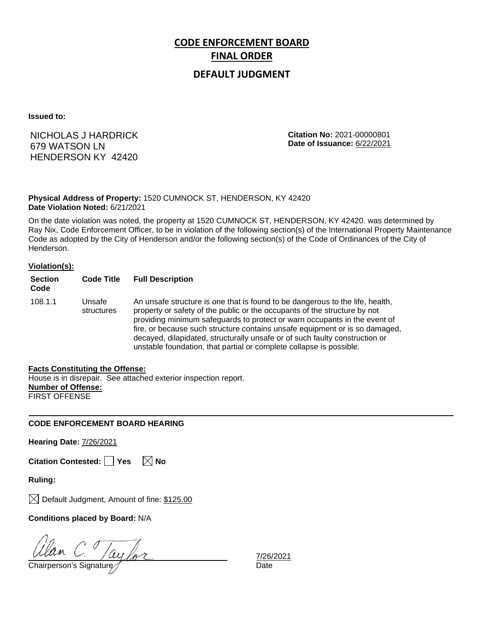## **CODE ENFORCEMENT BOARD FINAL ORDER**

### **DEFAULT JUDGMENT**

**Issued to:**

## NICHOLAS J HARDRICK 679 WATSON LN HENDERSON KY 42420

**Citation No:** 2021-00000801 **Date of Issuance:** 6/22/2021

#### **Physical Address of Property:** 1520 CUMNOCK ST, HENDERSON, KY 42420 **Date Violation Noted:** 6/21/2021

On the date violation was noted, the property at 1520 CUMNOCK ST, HENDERSON, KY 42420. was determined by Ray Nix, Code Enforcement Officer, to be in violation of the following section(s) of the International Property Maintenance Code as adopted by the City of Henderson and/or the following section(s) of the Code of Ordinances of the City of Henderson.

#### **Violation(s):**

| <b>Section</b><br>Code | <b>Code Title</b>    | <b>Full Description</b>                                                                                                                                                                                                                                                                                                                                                                                                                                                      |
|------------------------|----------------------|------------------------------------------------------------------------------------------------------------------------------------------------------------------------------------------------------------------------------------------------------------------------------------------------------------------------------------------------------------------------------------------------------------------------------------------------------------------------------|
| 108.1.1                | Unsafe<br>structures | An unsafe structure is one that is found to be dangerous to the life, health,<br>property or safety of the public or the occupants of the structure by not<br>providing minimum safeguards to protect or warn occupants in the event of<br>fire, or because such structure contains unsafe equipment or is so damaged,<br>decayed, dilapidated, structurally unsafe or of such faulty construction or<br>unstable foundation, that partial or complete collapse is possible. |

#### **Facts Constituting the Offense:**

House is in disrepair. See attached exterior inspection report. **Number of Offense:** FIRST OFFENSE

### **CODE ENFORCEMENT BOARD HEARING**

**Hearing Date:** 7/26/2021

**Citation Contested:** □ Yes  $\ \ \boxed{\times}$  No

**Ruling:**

 $\boxtimes$  Default Judgment, Amount of fine: \$125.00

**Conditions placed by Board:** N/A

Chairperson's Signature *Date* 

7/26/2021<br>Date